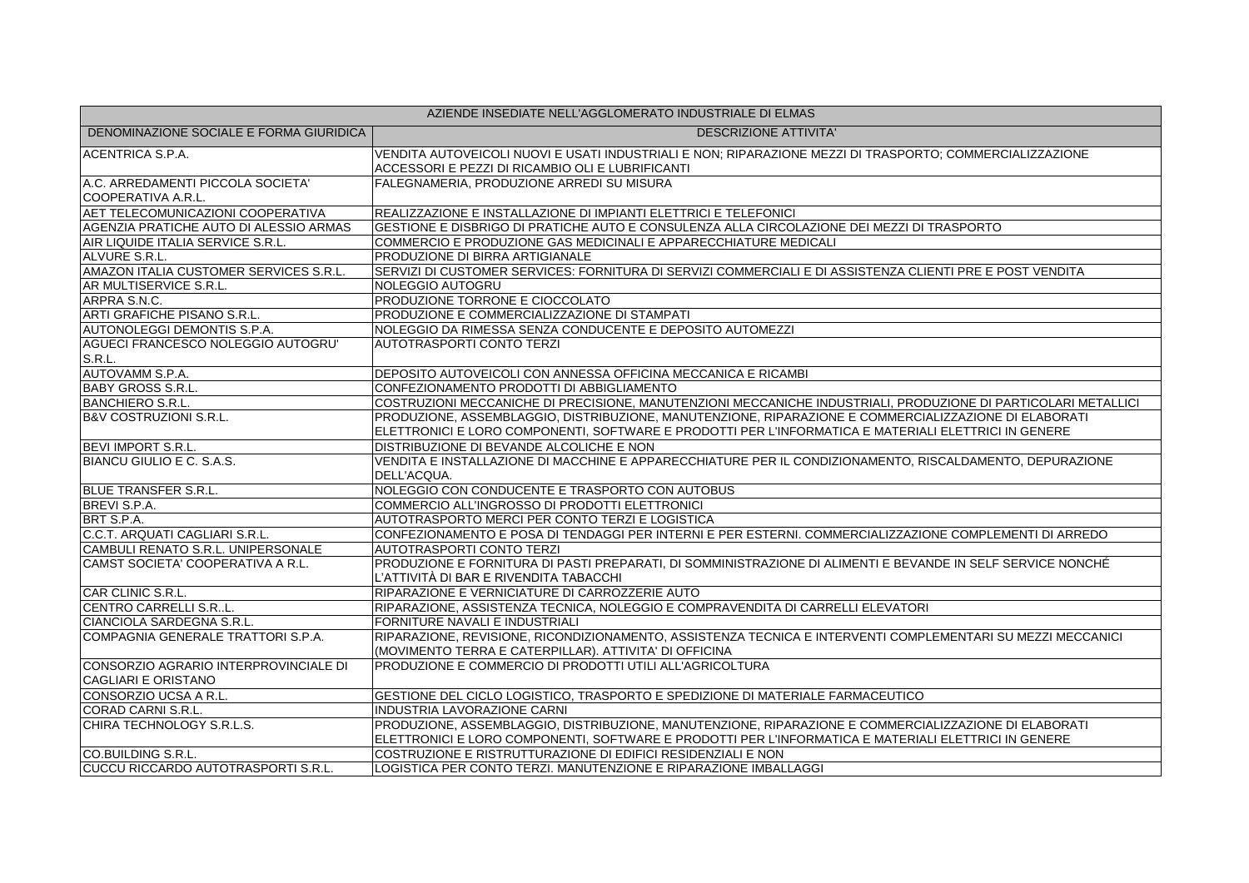| AZIENDE INSEDIATE NELL'AGGLOMERATO INDUSTRIALE DI ELMAS             |                                                                                                                                                                                                               |  |
|---------------------------------------------------------------------|---------------------------------------------------------------------------------------------------------------------------------------------------------------------------------------------------------------|--|
| DENOMINAZIONE SOCIALE E FORMA GIURIDICA                             | <b>DESCRIZIONE ATTIVITA'</b>                                                                                                                                                                                  |  |
| ACENTRICA S.P.A.                                                    | VENDITA AUTOVEICOLI NUOVI E USATI INDUSTRIALI E NON; RIPARAZIONE MEZZI DI TRASPORTO; COMMERCIALIZZAZIONE<br>ACCESSORI E PEZZI DI RICAMBIO OLI E LUBRIFICANTI                                                  |  |
| A.C. ARREDAMENTI PICCOLA SOCIETA'<br>COOPERATIVA A.R.L.             | FALEGNAMERIA, PRODUZIONE ARREDI SU MISURA                                                                                                                                                                     |  |
| AET TELECOMUNICAZIONI COOPERATIVA                                   | REALIZZAZIONE E INSTALLAZIONE DI IMPIANTI ELETTRICI E TELEFONICI                                                                                                                                              |  |
| AGENZIA PRATICHE AUTO DI ALESSIO ARMAS                              | GESTIONE E DISBRIGO DI PRATICHE AUTO E CONSULENZA ALLA CIRCOLAZIONE DEI MEZZI DI TRASPORTO                                                                                                                    |  |
| AIR LIQUIDE ITALIA SERVICE S.R.L.                                   | COMMERCIO E PRODUZIONE GAS MEDICINALI E APPARECCHIATURE MEDICALI                                                                                                                                              |  |
| ALVURE S.R.L.                                                       | PRODUZIONE DI BIRRA ARTIGIANALE                                                                                                                                                                               |  |
| AMAZON ITALIA CUSTOMER SERVICES S.R.L.                              | SERVIZI DI CUSTOMER SERVICES: FORNITURA DI SERVIZI COMMERCIALI E DI ASSISTENZA CLIENTI PRE E POST VENDITA                                                                                                     |  |
| AR MULTISERVICE S.R.L.                                              | NOLEGGIO AUTOGRU                                                                                                                                                                                              |  |
| ARPRA S.N.C.                                                        | PRODUZIONE TORRONE E CIOCCOLATO                                                                                                                                                                               |  |
| ARTI GRAFICHE PISANO S.R.L.                                         | PRODUZIONE E COMMERCIALIZZAZIONE DI STAMPATI                                                                                                                                                                  |  |
| AUTONOLEGGI DEMONTIS S.P.A.                                         | NOLEGGIO DA RIMESSA SENZA CONDUCENTE E DEPOSITO AUTOMEZZI                                                                                                                                                     |  |
| AGUECI FRANCESCO NOLEGGIO AUTOGRU'<br>S.R.L.                        | <b>AUTOTRASPORTI CONTO TERZI</b>                                                                                                                                                                              |  |
| AUTOVAMM S.P.A.                                                     | DEPOSITO AUTOVEICOLI CON ANNESSA OFFICINA MECCANICA E RICAMBI                                                                                                                                                 |  |
| <b>BABY GROSS S.R.L.</b>                                            | CONFEZIONAMENTO PRODOTTI DI ABBIGLIAMENTO                                                                                                                                                                     |  |
| <b>BANCHIERO S.R.L.</b>                                             | COSTRUZIONI MECCANICHE DI PRECISIONE, MANUTENZIONI MECCANICHE INDUSTRIALI, PRODUZIONE DI PARTICOLARI METALLICI                                                                                                |  |
| <b>B&amp;V COSTRUZIONI S.R.L.</b>                                   | PRODUZIONE, ASSEMBLAGGIO, DISTRIBUZIONE, MANUTENZIONE, RIPARAZIONE E COMMERCIALIZZAZIONE DI ELABORATI<br>ELETTRONICI E LORO COMPONENTI, SOFTWARE E PRODOTTI PER L'INFORMATICA E MATERIALI ELETTRICI IN GENERE |  |
| <b>BEVI IMPORT S.R.L.</b>                                           | DISTRIBUZIONE DI BEVANDE ALCOLICHE E NON                                                                                                                                                                      |  |
| BIANCU GIULIO E C. S.A.S.                                           | VENDITA E INSTALLAZIONE DI MACCHINE E APPARECCHIATURE PER IL CONDIZIONAMENTO, RISCALDAMENTO, DEPURAZIONE<br>DELL'ACQUA.                                                                                       |  |
| <b>BLUE TRANSFER S.R.L.</b>                                         | NOLEGGIO CON CONDUCENTE E TRASPORTO CON AUTOBUS                                                                                                                                                               |  |
| BREVI S.P.A.                                                        | COMMERCIO ALL'INGROSSO DI PRODOTTI ELETTRONICI                                                                                                                                                                |  |
| BRT S.P.A.                                                          | AUTOTRASPORTO MERCI PER CONTO TERZI E LOGISTICA                                                                                                                                                               |  |
| C.C.T. ARQUATI CAGLIARI S.R.L.                                      | CONFEZIONAMENTO E POSA DI TENDAGGI PER INTERNI E PER ESTERNI. COMMERCIALIZZAZIONE COMPLEMENTI DI ARREDO                                                                                                       |  |
| CAMBULI RENATO S.R.L. UNIPERSONALE                                  | <b>AUTOTRASPORTI CONTO TERZI</b>                                                                                                                                                                              |  |
| CAMST SOCIETA' COOPERATIVA A R.L.                                   | PRODUZIONE E FORNITURA DI PASTI PREPARATI, DI SOMMINISTRAZIONE DI ALIMENTI E BEVANDE IN SELF SERVICE NONCHÉ<br>L'ATTIVITÀ DI BAR E RIVENDITA TABACCHI                                                         |  |
| CAR CLINIC S.R.L.                                                   | RIPARAZIONE E VERNICIATURE DI CARROZZERIE AUTO                                                                                                                                                                |  |
| CENTRO CARRELLI S.RL.                                               | RIPARAZIONE, ASSISTENZA TECNICA, NOLEGGIO E COMPRAVENDITA DI CARRELLI ELEVATORI                                                                                                                               |  |
| CIANCIOLA SARDEGNA S.R.L.                                           | FORNITURE NAVALI E INDUSTRIALI                                                                                                                                                                                |  |
| COMPAGNIA GENERALE TRATTORI S.P.A.                                  | RIPARAZIONE, REVISIONE, RICONDIZIONAMENTO, ASSISTENZA TECNICA E INTERVENTI COMPLEMENTARI SU MEZZI MECCANICI<br>(MOVIMENTO TERRA E CATERPILLAR). ATTIVITA' DI OFFICINA                                         |  |
| CONSORZIO AGRARIO INTERPROVINCIALE DI<br><b>CAGLIARI E ORISTANO</b> | PRODUZIONE E COMMERCIO DI PRODOTTI UTILI ALL'AGRICOLTURA                                                                                                                                                      |  |
| CONSORZIO UCSA A R.L.                                               | GESTIONE DEL CICLO LOGISTICO, TRASPORTO E SPEDIZIONE DI MATERIALE FARMACEUTICO                                                                                                                                |  |
| CORAD CARNI S.R.L.                                                  | INDUSTRIA LAVORAZIONE CARNI                                                                                                                                                                                   |  |
| CHIRA TECHNOLOGY S.R.L.S.                                           | PRODUZIONE, ASSEMBLAGGIO, DISTRIBUZIONE, MANUTENZIONE, RIPARAZIONE E COMMERCIALIZZAZIONE DI ELABORATI<br>ELETTRONICI E LORO COMPONENTI, SOFTWARE E PRODOTTI PER L'INFORMATICA E MATERIALI ELETTRICI IN GENERE |  |
| CO.BUILDING S.R.L.                                                  | COSTRUZIONE E RISTRUTTURAZIONE DI EDIFICI RESIDENZIALI E NON                                                                                                                                                  |  |
| CUCCU RICCARDO AUTOTRASPORTI S.R.L.                                 | LOGISTICA PER CONTO TERZI. MANUTENZIONE E RIPARAZIONE IMBALLAGGI                                                                                                                                              |  |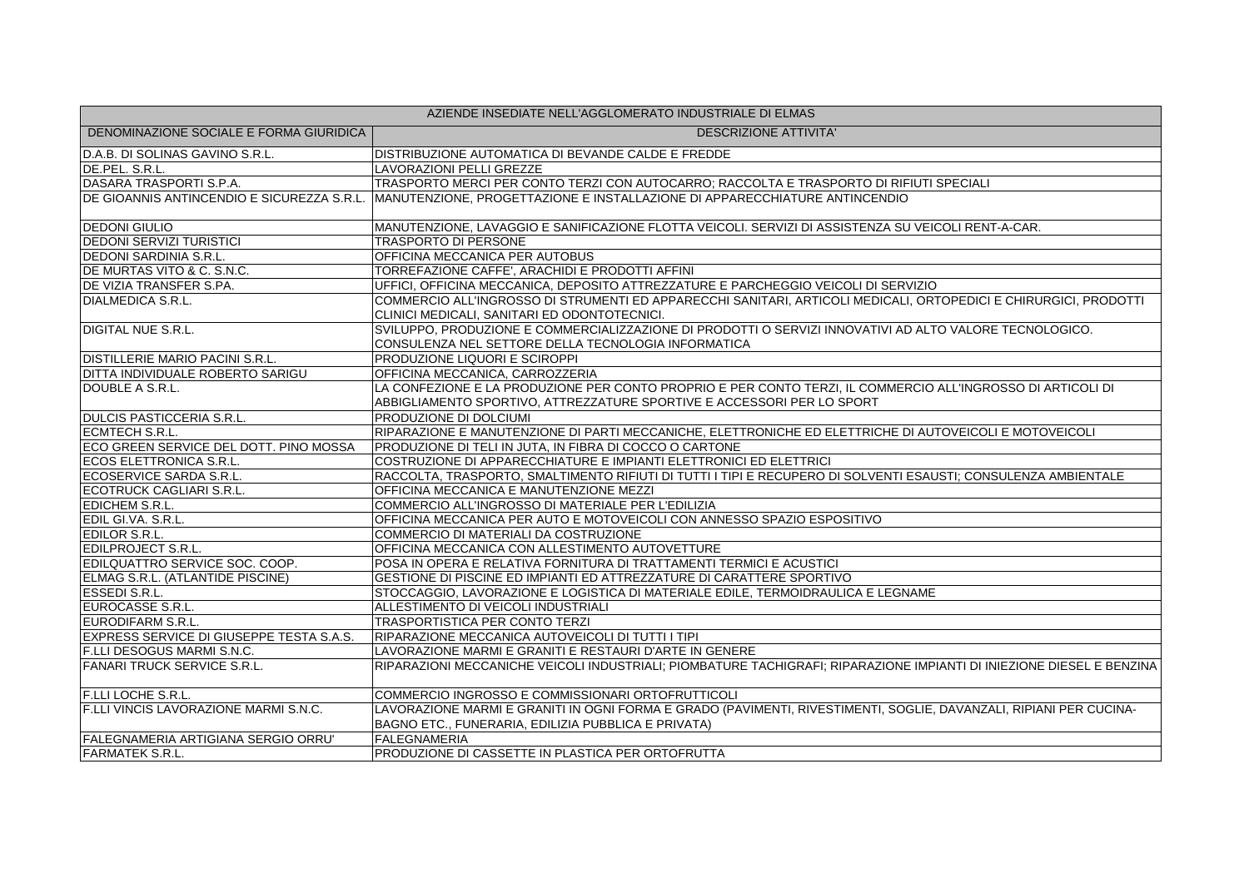| AZIENDE INSEDIATE NELL'AGGLOMERATO INDUSTRIALE DI ELMAS |                                                                                                                                                                                       |
|---------------------------------------------------------|---------------------------------------------------------------------------------------------------------------------------------------------------------------------------------------|
| DENOMINAZIONE SOCIALE E FORMA GIURIDICA                 | <b>DESCRIZIONE ATTIVITA'</b>                                                                                                                                                          |
| D.A.B. DI SOLINAS GAVINO S.R.L.                         | DISTRIBUZIONE AUTOMATICA DI BEVANDE CALDE E FREDDE                                                                                                                                    |
| DE.PEL. S.R.L.                                          | LAVORAZIONI PELLI GREZZE                                                                                                                                                              |
| DASARA TRASPORTI S.P.A.                                 | TRASPORTO MERCI PER CONTO TERZI CON AUTOCARRO; RACCOLTA E TRASPORTO DI RIFIUTI SPECIALI                                                                                               |
|                                                         | DE GIOANNIS ANTINCENDIO E SICUREZZA S.R.L. MANUTENZIONE, PROGETTAZIONE E INSTALLAZIONE DI APPARECCHIATURE ANTINCENDIO                                                                 |
| <b>DEDONI GIULIO</b>                                    | MANUTENZIONE, LAVAGGIO E SANIFICAZIONE FLOTTA VEICOLI. SERVIZI DI ASSISTENZA SU VEICOLI RENT-A-CAR.                                                                                   |
| <b>DEDONI SERVIZI TURISTICI</b>                         | <b>TRASPORTO DI PERSONE</b>                                                                                                                                                           |
| <b>DEDONI SARDINIA S.R.L.</b>                           | OFFICINA MECCANICA PER AUTOBUS                                                                                                                                                        |
| DE MURTAS VITO & C. S.N.C.                              | TORREFAZIONE CAFFE', ARACHIDI E PRODOTTI AFFINI                                                                                                                                       |
| DE VIZIA TRANSFER S.PA.                                 | UFFICI, OFFICINA MECCANICA, DEPOSITO ATTREZZATURE E PARCHEGGIO VEICOLI DI SERVIZIO                                                                                                    |
| DIALMEDICA S.R.L.                                       | COMMERCIO ALL'INGROSSO DI STRUMENTI ED APPARECCHI SANITARI. ARTICOLI MEDICALI. ORTOPEDICI E CHIRURGICI. PRODOTTI<br>CLINICI MEDICALI, SANITARI ED ODONTOTECNICI.                      |
| <b>DIGITAL NUE S.R.L.</b>                               | SVILUPPO, PRODUZIONE E COMMERCIALIZZAZIONE DI PRODOTTI O SERVIZI INNOVATIVI AD ALTO VALORE TECNOLOGICO.<br>CONSULENZA NEL SETTORE DELLA TECNOLOGIA INFORMATICA                        |
| <b>DISTILLERIE MARIO PACINI S.R.L.</b>                  | PRODUZIONE LIQUORI E SCIROPPI                                                                                                                                                         |
| DITTA INDIVIDUALE ROBERTO SARIGU                        | OFFICINA MECCANICA, CARROZZERIA                                                                                                                                                       |
| DOUBLE A S.R.L.                                         | LA CONFEZIONE E LA PRODUZIONE PER CONTO PROPRIO E PER CONTO TERZI, IL COMMERCIO ALL'INGROSSO DI ARTICOLI DI<br>ABBIGLIAMENTO SPORTIVO, ATTREZZATURE SPORTIVE E ACCESSORI PER LO SPORT |
| <b>DULCIS PASTICCERIA S.R.L.</b>                        | PRODUZIONE DI DOLCIUMI                                                                                                                                                                |
| ECMTECH S.R.L.                                          | RIPARAZIONE E MANUTENZIONE DI PARTI MECCANICHE, ELETTRONICHE ED ELETTRICHE DI AUTOVEICOLI E MOTOVEICOLI                                                                               |
| ECO GREEN SERVICE DEL DOTT. PINO MOSSA                  | PRODUZIONE DI TELI IN JUTA, IN FIBRA DI COCCO O CARTONE                                                                                                                               |
| ECOS ELETTRONICA S.R.L.                                 | COSTRUZIONE DI APPARECCHIATURE E IMPIANTI ELETTRONICI ED ELETTRICI                                                                                                                    |
| ECOSERVICE SARDA S.R.L.                                 | RACCOLTA, TRASPORTO, SMALTIMENTO RIFIUTI DI TUTTI I TIPI E RECUPERO DI SOLVENTI ESAUSTI; CONSULENZA AMBIENTALE                                                                        |
| ECOTRUCK CAGLIARI S.R.L.                                | OFFICINA MECCANICA E MANUTENZIONE MEZZI                                                                                                                                               |
| <b>EDICHEM S.R.L.</b>                                   | COMMERCIO ALL'INGROSSO DI MATERIALE PER L'EDILIZIA                                                                                                                                    |
| EDIL GI.VA. S.R.L.                                      | OFFICINA MECCANICA PER AUTO E MOTOVEICOLI CON ANNESSO SPAZIO ESPOSITIVO                                                                                                               |
| <b>EDILOR S.R.L.</b>                                    | COMMERCIO DI MATERIALI DA COSTRUZIONE                                                                                                                                                 |
| <b>EDILPROJECT S.R.L.</b>                               | OFFICINA MECCANICA CON ALLESTIMENTO AUTOVETTURE                                                                                                                                       |
| EDILQUATTRO SERVICE SOC. COOP.                          | POSA IN OPERA E RELATIVA FORNITURA DI TRATTAMENTI TERMICI E ACUSTICI                                                                                                                  |
| ELMAG S.R.L. (ATLANTIDE PISCINE)                        | GESTIONE DI PISCINE ED IMPIANTI ED ATTREZZATURE DI CARATTERE SPORTIVO                                                                                                                 |
| <b>ESSEDI S.R.L.</b>                                    | STOCCAGGIO, LAVORAZIONE E LOGISTICA DI MATERIALE EDILE, TERMOIDRAULICA E LEGNAME                                                                                                      |
| EUROCASSE S.R.L.                                        | ALLESTIMENTO DI VEICOLI INDUSTRIALI                                                                                                                                                   |
| EURODIFARM S.R.L.                                       | <b>TRASPORTISTICA PER CONTO TERZI</b>                                                                                                                                                 |
| EXPRESS SERVICE DI GIUSEPPE TESTA S.A.S.                | RIPARAZIONE MECCANICA AUTOVEICOLI DI TUTTI I TIPI                                                                                                                                     |
| F.LLI DESOGUS MARMI S.N.C.                              | LAVORAZIONE MARMI E GRANITI E RESTAURI D'ARTE IN GENERE                                                                                                                               |
| <b>FANARI TRUCK SERVICE S.R.L.</b>                      | RIPARAZIONI MECCANICHE VEICOLI INDUSTRIALI; PIOMBATURE TACHIGRAFI; RIPARAZIONE IMPIANTI DI INIEZIONE DIESEL E BENZINA                                                                 |
| <b>F.LLI LOCHE S.R.L.</b>                               | COMMERCIO INGROSSO E COMMISSIONARI ORTOFRUTTICOLI                                                                                                                                     |
| F.LLI VINCIS LAVORAZIONE MARMI S.N.C.                   | LAVORAZIONE MARMI E GRANITI IN OGNI FORMA E GRADO (PAVIMENTI, RIVESTIMENTI, SOGLIE, DAVANZALI, RIPIANI PER CUCINA-<br>BAGNO ETC., FUNERARIA, EDILIZIA PUBBLICA E PRIVATA)             |
| FALEGNAMERIA ARTIGIANA SERGIO ORRU'                     | <b>FALEGNAMERIA</b>                                                                                                                                                                   |
| <b>FARMATEK S.R.L.</b>                                  | PRODUZIONE DI CASSETTE IN PLASTICA PER ORTOFRUTTA                                                                                                                                     |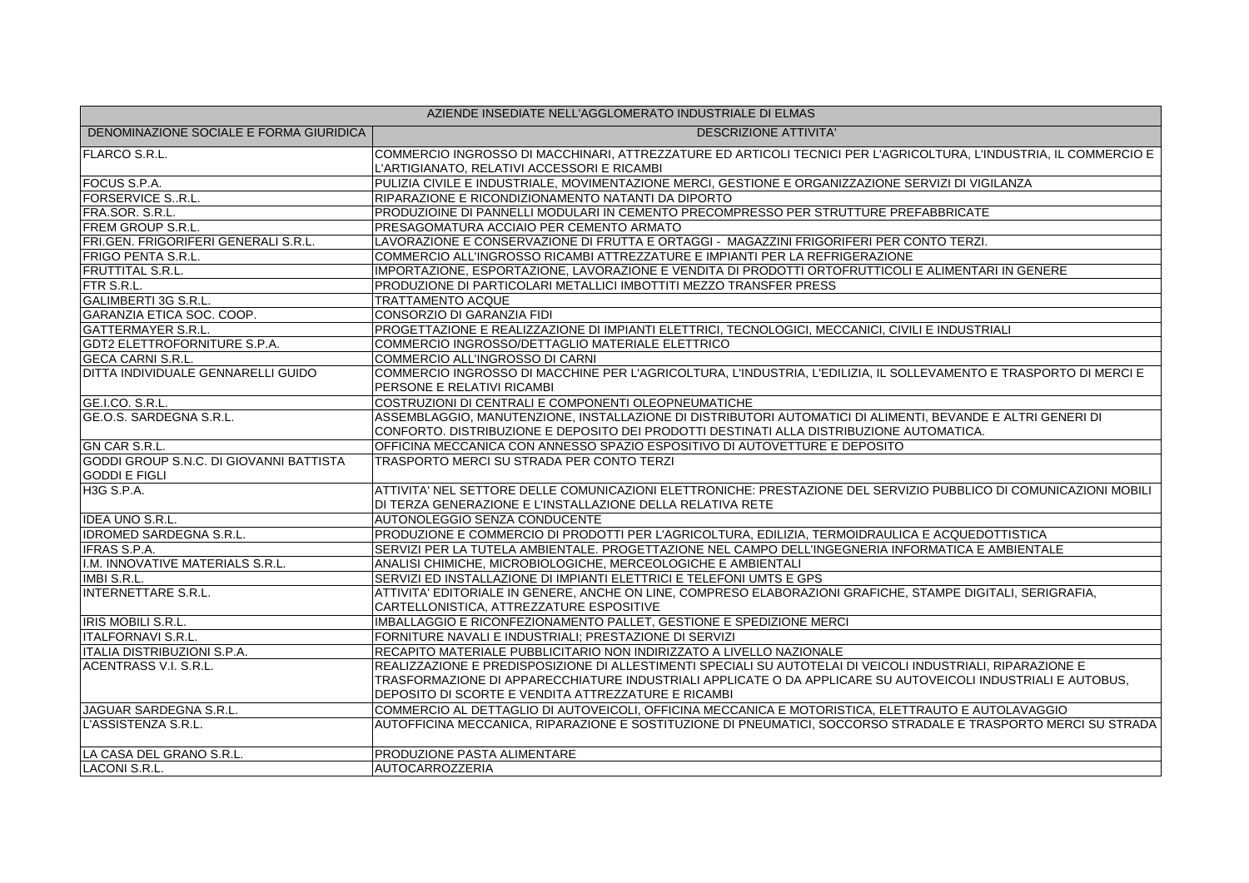| AZIENDE INSEDIATE NELL'AGGLOMERATO INDUSTRIALE DI ELMAS         |                                                                                                                                                                                                                                                                                    |  |
|-----------------------------------------------------------------|------------------------------------------------------------------------------------------------------------------------------------------------------------------------------------------------------------------------------------------------------------------------------------|--|
| DENOMINAZIONE SOCIALE E FORMA GIURIDICA                         | <b>DESCRIZIONE ATTIVITA'</b>                                                                                                                                                                                                                                                       |  |
| <b>FLARCO S.R.L.</b>                                            | COMMERCIO INGROSSO DI MACCHINARI, ATTREZZATURE ED ARTICOLI TECNICI PER L'AGRICOLTURA, L'INDUSTRIA, IL COMMERCIO E<br>L'ARTIGIANATO, RELATIVI ACCESSORI E RICAMBI                                                                                                                   |  |
| FOCUS S.P.A.                                                    | PULIZIA CIVILE E INDUSTRIALE, MOVIMENTAZIONE MERCI, GESTIONE E ORGANIZZAZIONE SERVIZI DI VIGILANZA                                                                                                                                                                                 |  |
| <b>FORSERVICE SR.L.</b>                                         | RIPARAZIONE E RICONDIZIONAMENTO NATANTI DA DIPORTO                                                                                                                                                                                                                                 |  |
| FRA.SOR. S.R.L.                                                 | PRODUZIOINE DI PANNELLI MODULARI IN CEMENTO PRECOMPRESSO PER STRUTTURE PREFABBRICATE                                                                                                                                                                                               |  |
| <b>FREM GROUP S.R.L.</b>                                        | PRESAGOMATURA ACCIAIO PER CEMENTO ARMATO                                                                                                                                                                                                                                           |  |
| FRI.GEN. FRIGORIFERI GENERALI S.R.L.                            | LAVORAZIONE E CONSERVAZIONE DI FRUTTA E ORTAGGI - MAGAZZINI FRIGORIFERI PER CONTO TERZI.                                                                                                                                                                                           |  |
| <b>FRIGO PENTA S.R.L.</b>                                       | COMMERCIO ALL'INGROSSO RICAMBI ATTREZZATURE E IMPIANTI PER LA REFRIGERAZIONE                                                                                                                                                                                                       |  |
| <b>FRUTTITAL S.R.L.</b>                                         | IMPORTAZIONE, ESPORTAZIONE, LAVORAZIONE E VENDITA DI PRODOTTI ORTOFRUTTICOLI E ALIMENTARI IN GENERE                                                                                                                                                                                |  |
| FTR S.R.L.                                                      | PRODUZIONE DI PARTICOLARI METALLICI IMBOTTITI MEZZO TRANSFER PRESS                                                                                                                                                                                                                 |  |
| <b>GALIMBERTI 3G S.R.L.</b>                                     | <b>TRATTAMENTO ACQUE</b>                                                                                                                                                                                                                                                           |  |
| GARANZIA ETICA SOC. COOP.                                       | <b>CONSORZIO DI GARANZIA FIDI</b>                                                                                                                                                                                                                                                  |  |
| <b>GATTERMAYER S.R.L.</b>                                       | PROGETTAZIONE E REALIZZAZIONE DI IMPIANTI ELETTRICI, TECNOLOGICI, MECCANICI, CIVILI E INDUSTRIALI                                                                                                                                                                                  |  |
| <b>GDT2 ELETTROFORNITURE S.P.A.</b>                             | COMMERCIO INGROSSO/DETTAGLIO MATERIALE ELETTRICO                                                                                                                                                                                                                                   |  |
| <b>GECA CARNI S.R.L.</b>                                        | COMMERCIO ALL'INGROSSO DI CARNI                                                                                                                                                                                                                                                    |  |
| DITTA INDIVIDUALE GENNARELLI GUIDO                              | COMMERCIO INGROSSO DI MACCHINE PER L'AGRICOLTURA, L'INDUSTRIA, L'EDILIZIA, IL SOLLEVAMENTO E TRASPORTO DI MERCI E<br>PERSONE E RELATIVI RICAMBI                                                                                                                                    |  |
| GE.I.CO. S.R.L.                                                 | COSTRUZIONI DI CENTRALI E COMPONENTI OLEOPNEUMATICHE                                                                                                                                                                                                                               |  |
| GE.O.S. SARDEGNA S.R.L.                                         | ASSEMBLAGGIO, MANUTENZIONE, INSTALLAZIONE DI DISTRIBUTORI AUTOMATICI DI ALIMENTI, BEVANDE E ALTRI GENERI DI<br>CONFORTO. DISTRIBUZIONE E DEPOSITO DEI PRODOTTI DESTINATI ALLA DISTRIBUZIONE AUTOMATICA.                                                                            |  |
| GN CAR S.R.L.                                                   | OFFICINA MECCANICA CON ANNESSO SPAZIO ESPOSITIVO DI AUTOVETTURE E DEPOSITO                                                                                                                                                                                                         |  |
| GODDI GROUP S.N.C. DI GIOVANNI BATTISTA<br><b>GODDI E FIGLI</b> | TRASPORTO MERCI SU STRADA PER CONTO TERZI                                                                                                                                                                                                                                          |  |
| <b>H3G S.P.A.</b>                                               | ATTIVITA' NEL SETTORE DELLE COMUNICAZIONI ELETTRONICHE: PRESTAZIONE DEL SERVIZIO PUBBLICO DI COMUNICAZIONI MOBILI<br>DI TERZA GENERAZIONE E L'INSTALLAZIONE DELLA RELATIVA RETE                                                                                                    |  |
| <b>IDEA UNO S.R.L.</b>                                          | AUTONOLEGGIO SENZA CONDUCENTE                                                                                                                                                                                                                                                      |  |
| <b>IDROMED SARDEGNA S.R.L.</b>                                  | PRODUZIONE E COMMERCIO DI PRODOTTI PER L'AGRICOLTURA, EDILIZIA, TERMOIDRAULICA E ACQUEDOTTISTICA                                                                                                                                                                                   |  |
| <b>IFRAS S.P.A.</b>                                             | SERVIZI PER LA TUTELA AMBIENTALE. PROGETTAZIONE NEL CAMPO DELL'INGEGNERIA INFORMATICA E AMBIENTALE                                                                                                                                                                                 |  |
| I.M. INNOVATIVE MATERIALS S.R.L.                                | ANALISI CHIMICHE, MICROBIOLOGICHE, MERCEOLOGICHE E AMBIENTALI                                                                                                                                                                                                                      |  |
| IMBI S.R.L.                                                     | SERVIZI ED INSTALLAZIONE DI IMPIANTI ELETTRICI E TELEFONI UMTS E GPS                                                                                                                                                                                                               |  |
| INTERNETTARE S.R.L.                                             | ATTIVITA' EDITORIALE IN GENERE, ANCHE ON LINE, COMPRESO ELABORAZIONI GRAFICHE, STAMPE DIGITALI, SERIGRAFIA,<br>CARTELLONISTICA, ATTREZZATURE ESPOSITIVE                                                                                                                            |  |
| <b>IRIS MOBILI S.R.L.</b>                                       | IMBALLAGGIO E RICONFEZIONAMENTO PALLET, GESTIONE E SPEDIZIONE MERCI                                                                                                                                                                                                                |  |
| <b>ITALFORNAVI S.R.L.</b>                                       | FORNITURE NAVALI E INDUSTRIALI; PRESTAZIONE DI SERVIZI                                                                                                                                                                                                                             |  |
| ITALIA DISTRIBUZIONI S.P.A.                                     | RECAPITO MATERIALE PUBBLICITARIO NON INDIRIZZATO A LIVELLO NAZIONALE                                                                                                                                                                                                               |  |
| <b>ACENTRASS V.I. S.R.L.</b>                                    | REALIZZAZIONE E PREDISPOSIZIONE DI ALLESTIMENTI SPECIALI SU AUTOTELAI DI VEICOLI INDUSTRIALI, RIPARAZIONE E<br>TRASFORMAZIONE DI APPARECCHIATURE INDUSTRIALI APPLICATE O DA APPLICARE SU AUTOVEICOLI INDUSTRIALI E AUTOBUS,<br>DEPOSITO DI SCORTE E VENDITA ATTREZZATURE E RICAMBI |  |
| <b>JAGUAR SARDEGNA S.R.L.</b>                                   | COMMERCIO AL DETTAGLIO DI AUTOVEICOLI, OFFICINA MECCANICA E MOTORISTICA, ELETTRAUTO E AUTOLAVAGGIO                                                                                                                                                                                 |  |
| L'ASSISTENZA S.R.L.                                             | AUTOFFICINA MECCANICA, RIPARAZIONE E SOSTITUZIONE DI PNEUMATICI, SOCCORSO STRADALE E TRASPORTO MERCI SU STRADA                                                                                                                                                                     |  |
| LA CASA DEL GRANO S.R.L.                                        | PRODUZIONE PASTA ALIMENTARE                                                                                                                                                                                                                                                        |  |
| LACONI S.R.L.                                                   | <b>AUTOCARROZZERIA</b>                                                                                                                                                                                                                                                             |  |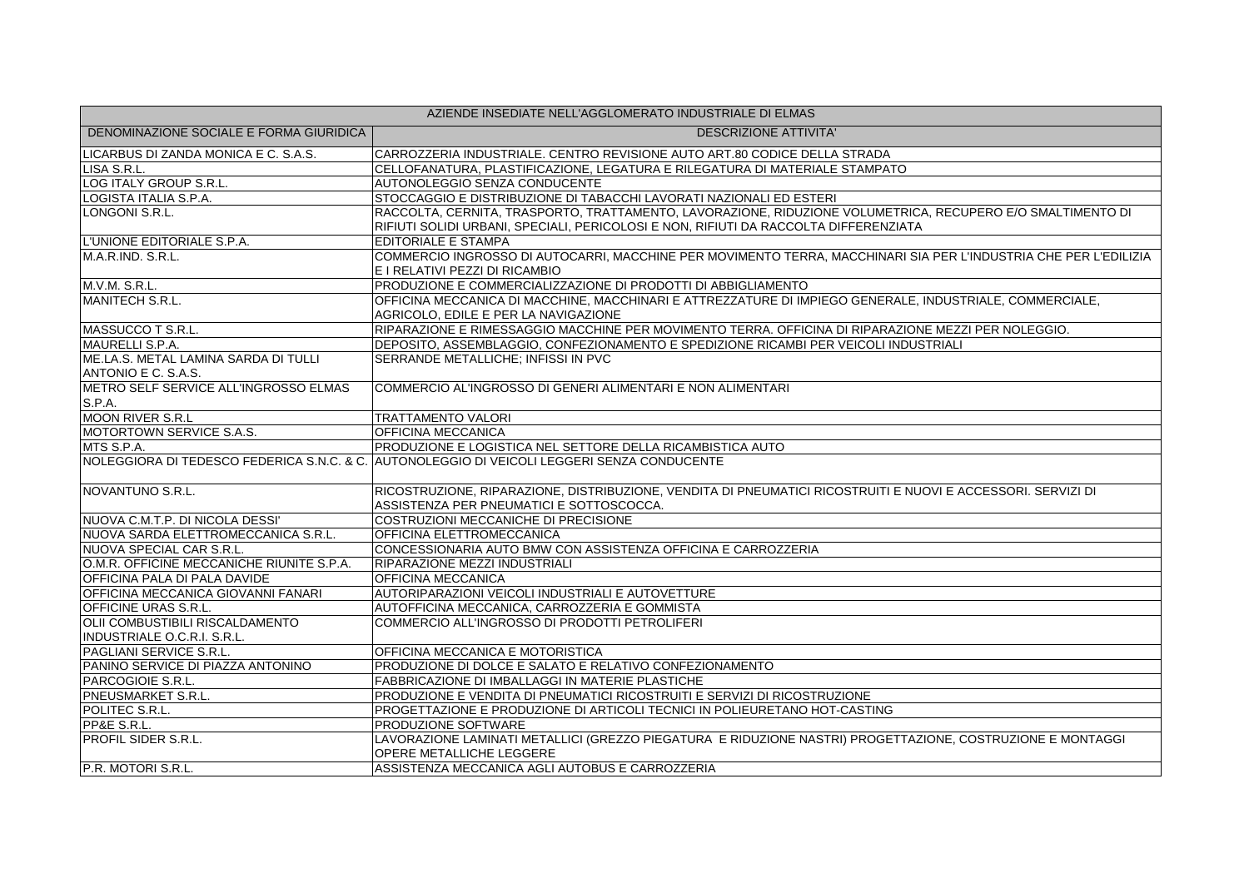| AZIENDE INSEDIATE NELL'AGGLOMERATO INDUSTRIALE DI ELMAS     |                                                                                                                                                    |  |
|-------------------------------------------------------------|----------------------------------------------------------------------------------------------------------------------------------------------------|--|
| DENOMINAZIONE SOCIALE E FORMA GIURIDICA                     | <b>DESCRIZIONE ATTIVITA'</b>                                                                                                                       |  |
| LICARBUS DI ZANDA MONICA E C. S.A.S.                        | CARROZZERIA INDUSTRIALE. CENTRO REVISIONE AUTO ART.80 CODICE DELLA STRADA                                                                          |  |
| LISA S.R.L.                                                 | CELLOFANATURA, PLASTIFICAZIONE, LEGATURA E RILEGATURA DI MATERIALE STAMPATO                                                                        |  |
| LOG ITALY GROUP S.R.L.                                      | AUTONOLEGGIO SENZA CONDUCENTE                                                                                                                      |  |
| LOGISTA ITALIA S.P.A.                                       | STOCCAGGIO E DISTRIBUZIONE DI TABACCHI LAVORATI NAZIONALI ED ESTERI                                                                                |  |
| LONGONI S.R.L.                                              | RACCOLTA, CERNITA, TRASPORTO, TRATTAMENTO, LAVORAZIONE, RIDUZIONE VOLUMETRICA, RECUPERO E/O SMALTIMENTO DI                                         |  |
|                                                             | RIFIUTI SOLIDI URBANI, SPECIALI, PERICOLOSI E NON, RIFIUTI DA RACCOLTA DIFFERENZIATA                                                               |  |
| L'UNIONE EDITORIALE S.P.A.                                  | EDITORIALE E STAMPA                                                                                                                                |  |
| M.A.R.IND. S.R.L.                                           | COMMERCIO INGROSSO DI AUTOCARRI, MACCHINE PER MOVIMENTO TERRA, MACCHINARI SIA PER L'INDUSTRIA CHE PER L'EDILIZIA<br>E I RELATIVI PEZZI DI RICAMBIO |  |
| M.V.M. S.R.L.                                               | PRODUZIONE E COMMERCIALIZZAZIONE DI PRODOTTI DI ABBIGLIAMENTO                                                                                      |  |
| MANITECH S.R.L.                                             | OFFICINA MECCANICA DI MACCHINE, MACCHINARI E ATTREZZATURE DI IMPIEGO GENERALE, INDUSTRIALE, COMMERCIALE,                                           |  |
|                                                             | AGRICOLO, EDILE E PER LA NAVIGAZIONE                                                                                                               |  |
| MASSUCCO T S.R.L.                                           | RIPARAZIONE E RIMESSAGGIO MACCHINE PER MOVIMENTO TERRA. OFFICINA DI RIPARAZIONE MEZZI PER NOLEGGIO.                                                |  |
| MAURELLI S.P.A.                                             | DEPOSITO, ASSEMBLAGGIO, CONFEZIONAMENTO E SPEDIZIONE RICAMBI PER VEICOLI INDUSTRIALI                                                               |  |
| ME.LA.S. METAL LAMINA SARDA DI TULLI<br>ANTONIO E C. S.A.S. | SERRANDE METALLICHE; INFISSI IN PVC                                                                                                                |  |
| METRO SELF SERVICE ALL'INGROSSO ELMAS                       | COMMERCIO AL'INGROSSO DI GENERI ALIMENTARI E NON ALIMENTARI                                                                                        |  |
| S.P.A.                                                      |                                                                                                                                                    |  |
| <b>MOON RIVER S.R.L</b>                                     | <b>TRATTAMENTO VALORI</b>                                                                                                                          |  |
| MOTORTOWN SERVICE S.A.S.                                    | OFFICINA MECCANICA                                                                                                                                 |  |
| MTS S.P.A.                                                  | PRODUZIONE E LOGISTICA NEL SETTORE DELLA RICAMBISTICA AUTO                                                                                         |  |
|                                                             | NOLEGGIORA DI TEDESCO FEDERICA S.N.C. & C. AUTONOLEGGIO DI VEICOLI LEGGERI SENZA CONDUCENTE                                                        |  |
|                                                             |                                                                                                                                                    |  |
| NOVANTUNO S.R.L.                                            | RICOSTRUZIONE, RIPARAZIONE, DISTRIBUZIONE, VENDITA DI PNEUMATICI RICOSTRUITI E NUOVI E ACCESSORI. SERVIZI DI                                       |  |
|                                                             | ASSISTENZA PER PNEUMATICI E SOTTOSCOCCA.                                                                                                           |  |
| NUOVA C.M.T.P. DI NICOLA DESSI'                             | COSTRUZIONI MECCANICHE DI PRECISIONE                                                                                                               |  |
| NUOVA SARDA ELETTROMECCANICA S.R.L.                         | OFFICINA ELETTROMECCANICA                                                                                                                          |  |
| NUOVA SPECIAL CAR S.R.L.                                    | CONCESSIONARIA AUTO BMW CON ASSISTENZA OFFICINA E CARROZZERIA                                                                                      |  |
| O.M.R. OFFICINE MECCANICHE RIUNITE S.P.A.                   | RIPARAZIONE MEZZI INDUSTRIALI                                                                                                                      |  |
| OFFICINA PALA DI PALA DAVIDE                                | OFFICINA MECCANICA                                                                                                                                 |  |
| <b>OFFICINA MECCANICA GIOVANNI FANARI</b>                   | AUTORIPARAZIONI VEICOLI INDUSTRIALI E AUTOVETTURE                                                                                                  |  |
| OFFICINE URAS S.R.L.                                        | AUTOFFICINA MECCANICA, CARROZZERIA E GOMMISTA                                                                                                      |  |
| OLII COMBUSTIBILI RISCALDAMENTO                             | COMMERCIO ALL'INGROSSO DI PRODOTTI PETROLIFERI                                                                                                     |  |
| INDUSTRIALE O.C.R.I. S.R.L.                                 |                                                                                                                                                    |  |
| <b>PAGLIANI SERVICE S.R.L.</b>                              | OFFICINA MECCANICA E MOTORISTICA                                                                                                                   |  |
| PANINO SERVICE DI PIAZZA ANTONINO                           | PRODUZIONE DI DOLCE E SALATO E RELATIVO CONFEZIONAMENTO                                                                                            |  |
| PARCOGIOIE S.R.L.                                           | <b>FABBRICAZIONE DI IMBALLAGGI IN MATERIE PLASTICHE</b>                                                                                            |  |
| PNEUSMARKET S.R.L.                                          | PRODUZIONE E VENDITA DI PNEUMATICI RICOSTRUITI E SERVIZI DI RICOSTRUZIONE                                                                          |  |
| POLITEC S.R.L.                                              | PROGETTAZIONE E PRODUZIONE DI ARTICOLI TECNICI IN POLIEURETANO HOT-CASTING                                                                         |  |
| PP&E S.R.L.                                                 | PRODUZIONE SOFTWARE                                                                                                                                |  |
| <b>PROFIL SIDER S.R.L.</b>                                  | LAVORAZIONE LAMINATI METALLICI (GREZZO PIEGATURA E RIDUZIONE NASTRI) PROGETTAZIONE, COSTRUZIONE E MONTAGGI                                         |  |
|                                                             | OPERE METALLICHE LEGGERE                                                                                                                           |  |
| P.R. MOTORI S.R.L.                                          | ASSISTENZA MECCANICA AGLI AUTOBUS E CARROZZERIA                                                                                                    |  |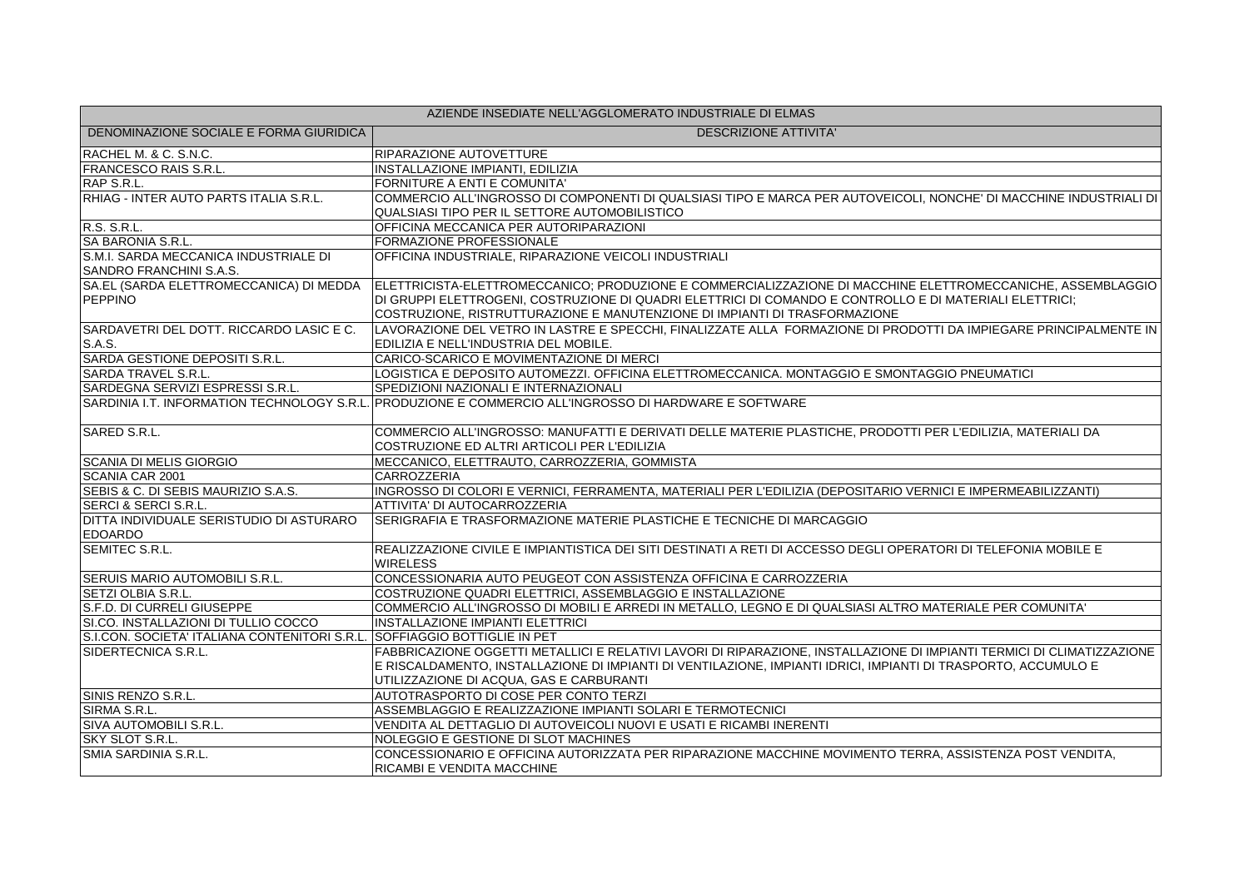| AZIENDE INSEDIATE NELL'AGGLOMERATO INDUSTRIALE DI ELMAS          |                                                                                                                                                                                                                                                                                                      |  |
|------------------------------------------------------------------|------------------------------------------------------------------------------------------------------------------------------------------------------------------------------------------------------------------------------------------------------------------------------------------------------|--|
| DENOMINAZIONE SOCIALE E FORMA GIURIDICA                          | <b>DESCRIZIONE ATTIVITA'</b>                                                                                                                                                                                                                                                                         |  |
| RACHEL M. & C. S.N.C.                                            | <b>RIPARAZIONE AUTOVETTURE</b>                                                                                                                                                                                                                                                                       |  |
| <b>FRANCESCO RAIS S.R.L.</b>                                     | INSTALLAZIONE IMPIANTI, EDILIZIA                                                                                                                                                                                                                                                                     |  |
| RAP S.R.L.                                                       | FORNITURE A ENTI E COMUNITA'                                                                                                                                                                                                                                                                         |  |
| RHIAG - INTER AUTO PARTS ITALIA S.R.L.                           | COMMERCIO ALL'INGROSSO DI COMPONENTI DI QUALSIASI TIPO E MARCA PER AUTOVEICOLI, NONCHE' DI MACCHINE INDUSTRIALI DI<br>QUALSIASI TIPO PER IL SETTORE AUTOMOBILISTICO                                                                                                                                  |  |
| R.S. S.R.L.                                                      | OFFICINA MECCANICA PER AUTORIPARAZIONI                                                                                                                                                                                                                                                               |  |
| SA BARONIA S.R.L.                                                | FORMAZIONE PROFESSIONALE                                                                                                                                                                                                                                                                             |  |
| S.M.I. SARDA MECCANICA INDUSTRIALE DI<br>SANDRO FRANCHINI S.A.S. | OFFICINA INDUSTRIALE, RIPARAZIONE VEICOLI INDUSTRIALI                                                                                                                                                                                                                                                |  |
| SA.EL (SARDA ELETTROMECCANICA) DI MEDDA<br>PEPPINO               | ELETTRICISTA-ELETTROMECCANICO; PRODUZIONE E COMMERCIALIZZAZIONE DI MACCHINE ELETTROMECCANICHE, ASSEMBLAGGIO<br>DI GRUPPI ELETTROGENI, COSTRUZIONE DI QUADRI ELETTRICI DI COMANDO E CONTROLLO E DI MATERIALI ELETTRICI;<br>COSTRUZIONE, RISTRUTTURAZIONE E MANUTENZIONE DI IMPIANTI DI TRASFORMAZIONE |  |
| SARDAVETRI DEL DOTT. RICCARDO LASIC E C.<br>S.A.S.               | LAVORAZIONE DEL VETRO IN LASTRE E SPECCHI, FINALIZZATE ALLA FORMAZIONE DI PRODOTTI DA IMPIEGARE PRINCIPALMENTE IN<br>EDILIZIA E NELL'INDUSTRIA DEL MOBILE.                                                                                                                                           |  |
| SARDA GESTIONE DEPOSITI S.R.L.                                   | CARICO-SCARICO E MOVIMENTAZIONE DI MERCI                                                                                                                                                                                                                                                             |  |
| <b>SARDA TRAVEL S.R.L.</b>                                       | LOGISTICA E DEPOSITO AUTOMEZZI. OFFICINA ELETTROMECCANICA. MONTAGGIO E SMONTAGGIO PNEUMATICI                                                                                                                                                                                                         |  |
| SARDEGNA SERVIZI ESPRESSI S.R.L.                                 | SPEDIZIONI NAZIONALI E INTERNAZIONALI                                                                                                                                                                                                                                                                |  |
|                                                                  | SARDINIA I.T. INFORMATION TECHNOLOGY S.R.L. PRODUZIONE E COMMERCIO ALL'INGROSSO DI HARDWARE E SOFTWARE                                                                                                                                                                                               |  |
| SARED S.R.L.                                                     | COMMERCIO ALL'INGROSSO: MANUFATTI E DERIVATI DELLE MATERIE PLASTICHE, PRODOTTI PER L'EDILIZIA, MATERIALI DA<br>COSTRUZIONE ED ALTRI ARTICOLI PER L'EDILIZIA                                                                                                                                          |  |
| <b>SCANIA DI MELIS GIORGIO</b>                                   | MECCANICO, ELETTRAUTO, CARROZZERIA, GOMMISTA                                                                                                                                                                                                                                                         |  |
| SCANIA CAR 2001                                                  | CARROZZERIA                                                                                                                                                                                                                                                                                          |  |
| SEBIS & C. DI SEBIS MAURIZIO S.A.S.                              | INGROSSO DI COLORI E VERNICI, FERRAMENTA, MATERIALI PER L'EDILIZIA (DEPOSITARIO VERNICI E IMPERMEABILIZZANTI)                                                                                                                                                                                        |  |
| <b>SERCI &amp; SERCI S.R.L.</b>                                  | ATTIVITA' DI AUTOCARROZZERIA                                                                                                                                                                                                                                                                         |  |
| DITTA INDIVIDUALE SERISTUDIO DI ASTURARO<br><b>EDOARDO</b>       | SERIGRAFIA E TRASFORMAZIONE MATERIE PLASTICHE E TECNICHE DI MARCAGGIO                                                                                                                                                                                                                                |  |
| SEMITEC S.R.L.                                                   | REALIZZAZIONE CIVILE E IMPIANTISTICA DEI SITI DESTINATI A RETI DI ACCESSO DEGLI OPERATORI DI TELEFONIA MOBILE E<br><b>WIRELESS</b>                                                                                                                                                                   |  |
| SERUIS MARIO AUTOMOBILI S.R.L.                                   | CONCESSIONARIA AUTO PEUGEOT CON ASSISTENZA OFFICINA E CARROZZERIA                                                                                                                                                                                                                                    |  |
| SETZI OLBIA S.R.L.                                               | COSTRUZIONE QUADRI ELETTRICI, ASSEMBLAGGIO E INSTALLAZIONE                                                                                                                                                                                                                                           |  |
| S.F.D. DI CURRELI GIUSEPPE                                       | COMMERCIO ALL'INGROSSO DI MOBILI E ARREDI IN METALLO, LEGNO E DI QUALSIASI ALTRO MATERIALE PER COMUNITA'                                                                                                                                                                                             |  |
| SI.CO. INSTALLAZIONI DI TULLIO COCCO                             | <b>INSTALLAZIONE IMPIANTI ELETTRICI</b>                                                                                                                                                                                                                                                              |  |
| S.I.CON. SOCIETA' ITALIANA CONTENITORI S.R.L.                    | <b>SOFFIAGGIO BOTTIGLIE IN PET</b>                                                                                                                                                                                                                                                                   |  |
| SIDERTECNICA S.R.L.                                              | FABBRICAZIONE OGGETTI METALLICI E RELATIVI LAVORI DI RIPARAZIONE, INSTALLAZIONE DI IMPIANTI TERMICI DI CLIMATIZZAZIONE<br>E RISCALDAMENTO, INSTALLAZIONE DI IMPIANTI DI VENTILAZIONE, IMPIANTI IDRICI, IMPIANTI DI TRASPORTO, ACCUMULO E<br>UTILIZZAZIONE DI ACQUA, GAS E CARBURANTI                 |  |
| SINIS RENZO S.R.L.                                               | AUTOTRASPORTO DI COSE PER CONTO TERZI                                                                                                                                                                                                                                                                |  |
| SIRMA S.R.L.                                                     | ASSEMBLAGGIO E REALIZZAZIONE IMPIANTI SOLARI E TERMOTECNICI                                                                                                                                                                                                                                          |  |
| SIVA AUTOMOBILI S.R.L.                                           | VENDITA AL DETTAGLIO DI AUTOVEICOLI NUOVI E USATI E RICAMBI INERENTI                                                                                                                                                                                                                                 |  |
| SKY SLOT S.R.L.                                                  | NOLEGGIO E GESTIONE DI SLOT MACHINES                                                                                                                                                                                                                                                                 |  |
| <b>SMIA SARDINIA S.R.L.</b>                                      | CONCESSIONARIO E OFFICINA AUTORIZZATA PER RIPARAZIONE MACCHINE MOVIMENTO TERRA, ASSISTENZA POST VENDITA,<br>RICAMBI E VENDITA MACCHINE                                                                                                                                                               |  |